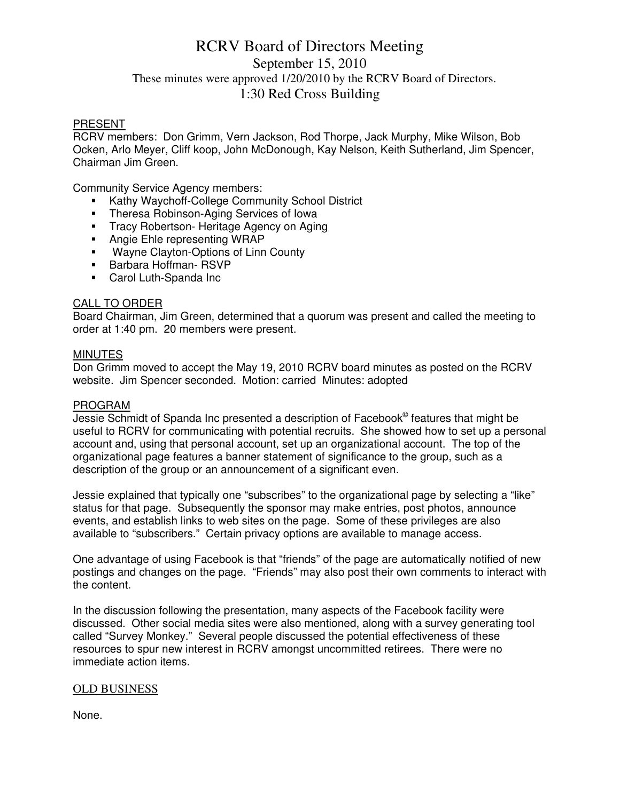# RCRV Board of Directors Meeting September 15, 2010 These minutes were approved 1/20/2010 by the RCRV Board of Directors. 1:30 Red Cross Building

### PRESENT

RCRV members: Don Grimm, Vern Jackson, Rod Thorpe, Jack Murphy, Mike Wilson, Bob Ocken, Arlo Meyer, Cliff koop, John McDonough, Kay Nelson, Keith Sutherland, Jim Spencer, Chairman Jim Green.

Community Service Agency members:

- Kathy Waychoff-College Community School District
- **Theresa Robinson-Aging Services of Iowa**
- **Tracy Robertson- Heritage Agency on Aging**
- Angie Ehle representing WRAP
- **Wayne Clayton-Options of Linn County**
- **Barbara Hoffman- RSVP**
- Carol Luth-Spanda Inc

### CALL TO ORDER

Board Chairman, Jim Green, determined that a quorum was present and called the meeting to order at 1:40 pm. 20 members were present.

#### **MINUTES**

Don Grimm moved to accept the May 19, 2010 RCRV board minutes as posted on the RCRV website. Jim Spencer seconded. Motion: carried Minutes: adopted

#### PROGRAM

Jessie Schmidt of Spanda Inc presented a description of Facebook<sup>©</sup> features that might be useful to RCRV for communicating with potential recruits. She showed how to set up a personal account and, using that personal account, set up an organizational account. The top of the organizational page features a banner statement of significance to the group, such as a description of the group or an announcement of a significant even.

Jessie explained that typically one "subscribes" to the organizational page by selecting a "like" status for that page. Subsequently the sponsor may make entries, post photos, announce events, and establish links to web sites on the page. Some of these privileges are also available to "subscribers." Certain privacy options are available to manage access.

One advantage of using Facebook is that "friends" of the page are automatically notified of new postings and changes on the page. "Friends" may also post their own comments to interact with the content.

In the discussion following the presentation, many aspects of the Facebook facility were discussed. Other social media sites were also mentioned, along with a survey generating tool called "Survey Monkey." Several people discussed the potential effectiveness of these resources to spur new interest in RCRV amongst uncommitted retirees. There were no immediate action items.

### OLD BUSINESS

None.